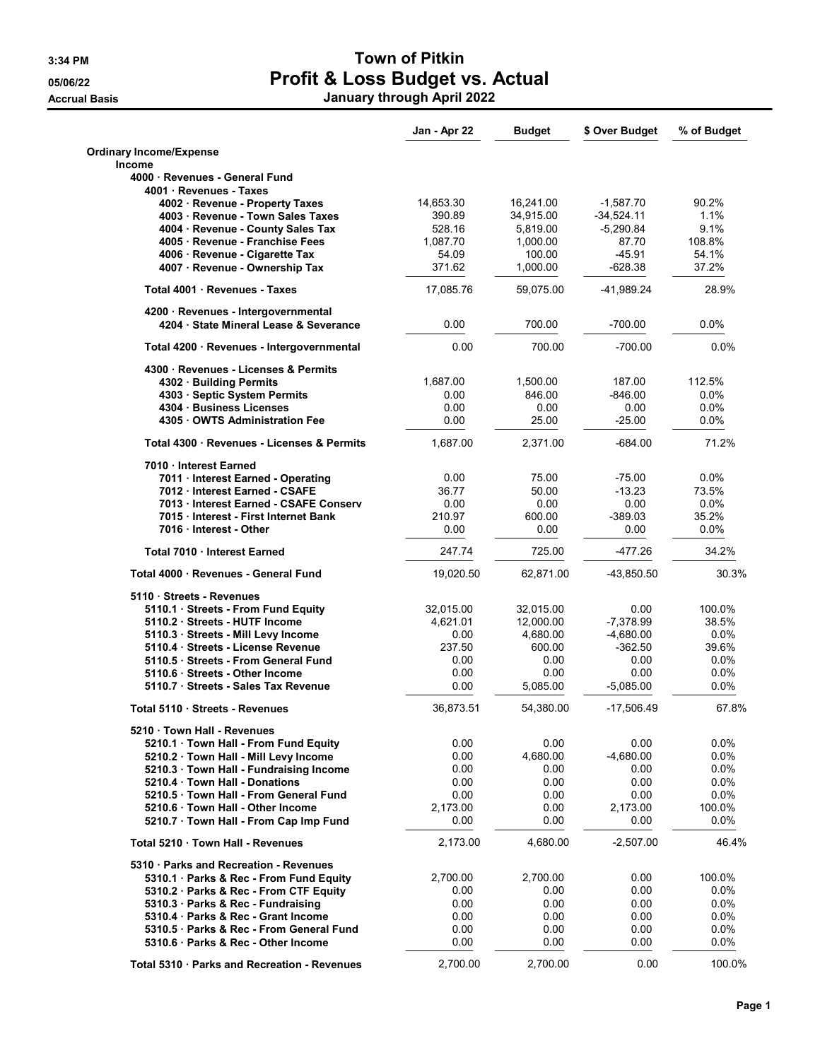## 3:34 PM SALES AND TOWN OF Pitkin 05/06/22 **Profit & Loss Budget vs. Actual** Accrual Basis January through April 2022

|                                                                             | Jan - Apr 22 | Budget    | \$ Over Budget | % of Budget |
|-----------------------------------------------------------------------------|--------------|-----------|----------------|-------------|
| <b>Ordinary Income/Expense</b>                                              |              |           |                |             |
| <b>Income</b>                                                               |              |           |                |             |
| 4000 · Revenues - General Fund                                              |              |           |                |             |
| 4001 · Revenues - Taxes                                                     | 14,653.30    | 16,241.00 | $-1,587.70$    | 90.2%       |
| 4002 · Revenue - Property Taxes<br>4003 · Revenue - Town Sales Taxes        | 390.89       | 34,915.00 | $-34,524.11$   | 1.1%        |
| 4004 · Revenue - County Sales Tax                                           | 528.16       | 5,819.00  | $-5,290.84$    | 9.1%        |
| 4005 · Revenue - Franchise Fees                                             | 1,087.70     | 1,000.00  | 87.70          | 108.8%      |
| 4006 · Revenue - Cigarette Tax                                              | 54.09        | 100.00    | $-45.91$       | 54.1%       |
| 4007 · Revenue - Ownership Tax                                              | 371.62       | 1,000.00  | $-628.38$      | 37.2%       |
| Total 4001 · Revenues - Taxes                                               | 17,085.76    | 59,075.00 | -41,989.24     | 28.9%       |
|                                                                             |              |           |                |             |
| 4200 · Revenues - Intergovernmental<br>4204 State Mineral Lease & Severance | 0.00         | 700.00    | $-700.00$      | $0.0\%$     |
|                                                                             |              |           |                |             |
| Total 4200 · Revenues - Intergovernmental                                   | 0.00         | 700.00    | $-700.00$      | 0.0%        |
| 4300 · Revenues - Licenses & Permits                                        |              |           |                |             |
| 4302 Building Permits                                                       | 1,687.00     | 1,500.00  | 187.00         | 112.5%      |
| 4303 · Septic System Permits                                                | 0.00         | 846.00    | $-846.00$      | $0.0\%$     |
| 4304 Business Licenses                                                      | 0.00         | 0.00      | 0.00           | $0.0\%$     |
| 4305 OWTS Administration Fee                                                | 0.00         | 25.00     | -25.00         | 0.0%        |
| Total 4300 · Revenues - Licenses & Permits                                  | 1.687.00     | 2,371.00  | $-684.00$      | 71.2%       |
| 7010 Interest Earned                                                        |              |           |                |             |
| 7011 · Interest Earned - Operating                                          | 0.00         | 75.00     | $-75.00$       | 0.0%        |
| 7012 Interest Earned - CSAFE                                                | 36.77        | 50.00     | $-13.23$       | 73.5%       |
| 7013 Interest Earned - CSAFE Conserv                                        | 0.00         | 0.00      | 0.00           | $0.0\%$     |
| 7015 Interest - First Internet Bank                                         | 210.97       | 600.00    | $-389.03$      | 35.2%       |
| 7016 Interest - Other                                                       | 0.00         | 0.00      | 0.00           | $0.0\%$     |
| Total 7010 · Interest Earned                                                | 247.74       | 725.00    | -477.26        | 34.2%       |
| Total 4000 · Revenues - General Fund                                        | 19,020.50    | 62,871.00 | -43,850.50     | 30.3%       |
| 5110 Streets - Revenues                                                     |              |           |                |             |
| 5110.1 · Streets - From Fund Equity                                         | 32,015.00    | 32,015.00 | 0.00           | 100.0%      |
| 5110.2 · Streets - HUTF Income                                              | 4,621.01     | 12,000.00 | -7,378.99      | 38.5%       |
| 5110.3 · Streets - Mill Levy Income                                         | 0.00         | 4,680.00  | $-4,680.00$    | 0.0%        |
| 5110.4 · Streets - License Revenue                                          | 237.50       | 600.00    | $-362.50$      | 39.6%       |
| 5110.5 Streets - From General Fund                                          | 0.00         | 0.00      | 0.00           | $0.0\%$     |
| 5110.6 · Streets - Other Income                                             | 0.00         | 0.00      | 0.00           | $0.0\%$     |
| 5110.7 · Streets - Sales Tax Revenue                                        | 0.00         | 5,085.00  | $-5,085.00$    | $0.0\%$     |
| Total 5110 · Streets - Revenues                                             | 36,873.51    | 54,380.00 | -17,506.49     | 67.8%       |
| 5210 · Town Hall - Revenues                                                 |              |           |                |             |
| 5210.1 Town Hall - From Fund Equity                                         | 0.00         | $0.00\,$  | 0.00           | $0.0\%$     |
| 5210.2 · Town Hall - Mill Levy Income                                       | 0.00         | 4,680.00  | $-4,680.00$    | 0.0%        |
| 5210.3 Town Hall - Fundraising Income                                       | 0.00         | 0.00      | 0.00           | 0.0%        |
| 5210.4 Town Hall - Donations                                                | 0.00         | 0.00      | 0.00           | $0.0\%$     |
| 5210.5 · Town Hall - From General Fund                                      | 0.00         | 0.00      | 0.00           | 0.0%        |
| 5210.6 Town Hall - Other Income                                             | 2.173.00     | $0.00\,$  | 2,173.00       | 100.0%      |
| 5210.7 · Town Hall - From Cap Imp Fund                                      | 0.00         | 0.00      | 0.00           | $0.0\%$     |
| Total 5210 Town Hall - Revenues                                             | 2,173.00     | 4,680.00  | $-2,507.00$    | 46.4%       |
| 5310 · Parks and Recreation - Revenues                                      |              |           |                |             |
| 5310.1 · Parks & Rec - From Fund Equity                                     | 2,700.00     | 2,700.00  | 0.00           | 100.0%      |
| 5310.2 · Parks & Rec - From CTF Equity                                      | 0.00         | 0.00      | 0.00           | $0.0\%$     |
| 5310.3 Parks & Rec - Fundraising                                            | 0.00         | 0.00      | 0.00           | 0.0%        |
| 5310.4 Parks & Rec - Grant Income                                           | 0.00         | 0.00      | 0.00           | $0.0\%$     |
| 5310.5 · Parks & Rec - From General Fund                                    | 0.00         | 0.00      | 0.00           | 0.0%        |
| 5310.6 · Parks & Rec - Other Income                                         | 0.00         | 0.00      | 0.00           | $0.0\%$     |
|                                                                             |              |           |                |             |
| Total 5310 · Parks and Recreation - Revenues                                | 2,700.00     | 2,700.00  | 0.00           | 100.0%      |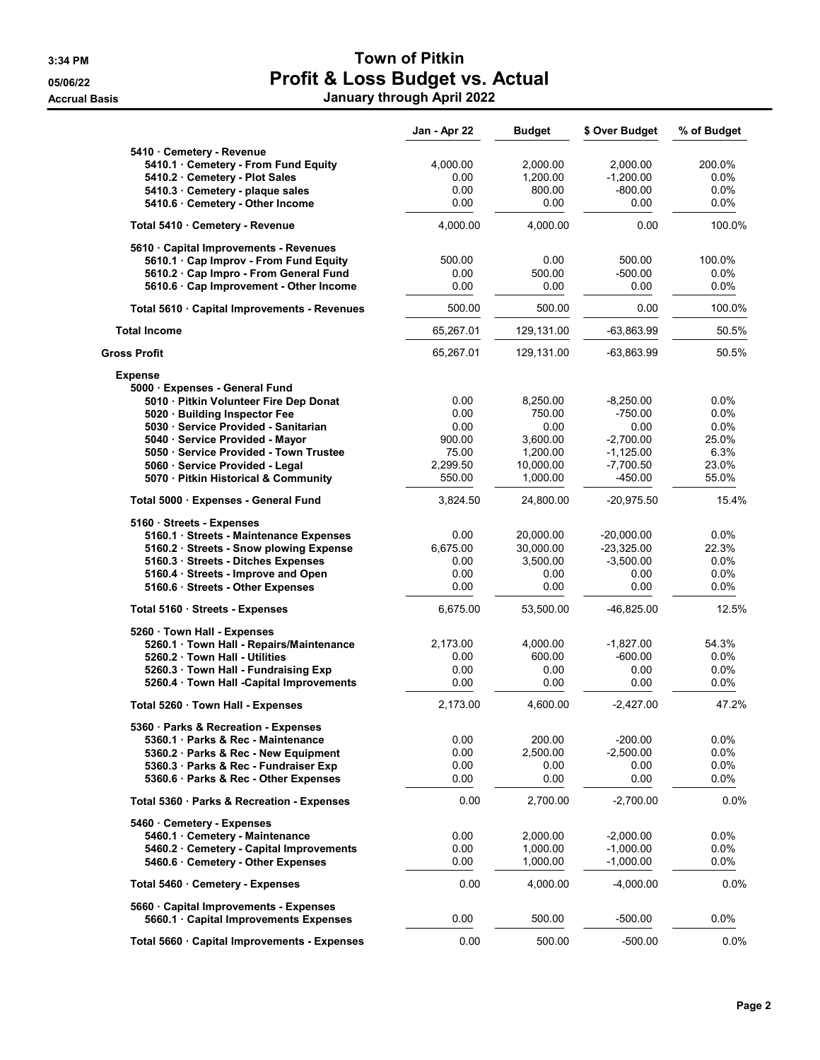## 3:34 PM SALES AND TOWN OF Pitkin 05/06/22 **Profit & Loss Budget vs. Actual** Accrual Basis January through April 2022

|                                              | Jan - Apr 22 | <b>Budget</b> | \$ Over Budget | % of Budget |
|----------------------------------------------|--------------|---------------|----------------|-------------|
| 5410 Cemetery - Revenue                      |              |               |                |             |
| 5410.1 · Cemetery - From Fund Equity         | 4.000.00     | 2,000.00      | 2,000.00       | 200.0%      |
| 5410.2 Cemetery - Plot Sales                 | 0.00         | 1,200.00      | $-1,200.00$    | $0.0\%$     |
| 5410.3 Cemetery - plaque sales               | 0.00         | 800.00        | $-800.00$      | 0.0%        |
| 5410.6 · Cemetery - Other Income             | 0.00         | 0.00          | 0.00           | 0.0%        |
| Total 5410 Cemetery - Revenue                | 4,000.00     | 4,000.00      | 0.00           | 100.0%      |
| 5610 Capital Improvements - Revenues         |              |               |                |             |
| 5610.1 · Cap Improv - From Fund Equity       | 500.00       | 0.00          | 500.00         | 100.0%      |
| 5610.2 · Cap Impro - From General Fund       | 0.00         | 500.00        | $-500.00$      | 0.0%        |
| 5610.6 · Cap Improvement - Other Income      | 0.00         | 0.00          | 0.00           | $0.0\%$     |
| Total 5610 · Capital Improvements - Revenues | 500.00       | 500.00        | 0.00           | 100.0%      |
| <b>Total Income</b>                          | 65,267.01    | 129,131.00    | $-63,863.99$   | 50.5%       |
| Gross Profit                                 | 65,267.01    | 129,131.00    | -63,863.99     | 50.5%       |
| <b>Expense</b>                               |              |               |                |             |
| 5000 Expenses - General Fund                 |              |               |                |             |
| 5010 · Pitkin Volunteer Fire Dep Donat       | 0.00         | 8,250.00      | $-8.250.00$    | $0.0\%$     |
| 5020 · Building Inspector Fee                | 0.00         | 750.00        | $-750.00$      | 0.0%        |
| 5030 · Service Provided - Sanitarian         | 0.00         | 0.00          | 0.00           | 0.0%        |
| 5040 · Service Provided - Mayor              | 900.00       | 3,600.00      | $-2,700.00$    | 25.0%       |
| 5050 · Service Provided - Town Trustee       | 75.00        | 1,200.00      | $-1,125.00$    | 6.3%        |
| 5060 · Service Provided - Legal              | 2.299.50     | 10,000.00     | $-7,700.50$    | 23.0%       |
| 5070 · Pitkin Historical & Community         | 550.00       | 1,000.00      | -450.00        | 55.0%       |
| Total 5000 · Expenses - General Fund         | 3,824.50     | 24,800.00     | $-20,975.50$   | 15.4%       |
| 5160 · Streets - Expenses                    |              |               |                |             |
| 5160.1 · Streets - Maintenance Expenses      | 0.00         | 20,000.00     | $-20,000.00$   | $0.0\%$     |
| 5160.2 · Streets - Snow plowing Expense      | 6,675.00     | 30,000.00     | $-23,325.00$   | 22.3%       |
| 5160.3 · Streets - Ditches Expenses          | 0.00         | 3,500.00      | $-3,500.00$    | $0.0\%$     |
| 5160.4 · Streets - Improve and Open          | 0.00         | 0.00          | 0.00           | 0.0%        |
| 5160.6 · Streets - Other Expenses            | 0.00         | 0.00          | 0.00           | $0.0\%$     |
| Total 5160 · Streets - Expenses              | 6,675.00     | 53,500.00     | -46,825.00     | 12.5%       |
| 5260 Town Hall - Expenses                    |              |               |                |             |
| 5260.1 · Town Hall - Repairs/Maintenance     | 2,173.00     | 4,000.00      | $-1,827.00$    | 54.3%       |
| 5260.2 · Town Hall - Utilities               | 0.00         | 600.00        | $-600.00$      | 0.0%        |
| 5260.3 · Town Hall - Fundraising Exp         | 0.00         | 0.00          | 0.00           | 0.0%        |
| 5260.4 · Town Hall -Capital Improvements     | 0.00         | 0.00          | 0.00           | 0.0%        |
| Total 5260 Town Hall - Expenses              | 2,173.00     | 4,600.00      | $-2,427.00$    | 47.2%       |
| 5360 · Parks & Recreation - Expenses         |              |               |                |             |
| 5360.1 Parks & Rec - Maintenance             | 0.00         | 200.00        | $-200.00$      | $0.0\%$     |
| 5360.2 · Parks & Rec - New Equipment         | 0.00         | 2,500.00      | $-2,500.00$    | 0.0%        |
| 5360.3 · Parks & Rec - Fundraiser Exp        | 0.00         | 0.00          | 0.00           | $0.0\%$     |
| 5360.6 · Parks & Rec - Other Expenses        | 0.00         | 0.00          | 0.00           | 0.0%        |
| Total 5360 · Parks & Recreation - Expenses   | 0.00         | 2,700.00      | $-2,700.00$    | 0.0%        |
| 5460 Cemetery - Expenses                     |              |               |                |             |
| 5460.1 Cemetery - Maintenance                | 0.00         | 2,000.00      | $-2,000.00$    | $0.0\%$     |
| 5460.2 Cemetery - Capital Improvements       | 0.00         | 1,000.00      | $-1,000.00$    | $0.0\%$     |
| 5460.6 Cemetery - Other Expenses             | 0.00         | 1,000.00      | $-1,000.00$    | 0.0%        |
| Total 5460 Cemetery - Expenses               | 0.00         | 4,000.00      | $-4,000.00$    | 0.0%        |
| 5660 Capital Improvements - Expenses         |              |               |                |             |
| 5660.1 Capital Improvements Expenses         | 0.00         | 500.00        | $-500.00$      | 0.0%        |
| Total 5660 · Capital Improvements - Expenses | 0.00         | 500.00        | $-500.00$      | $0.0\%$     |